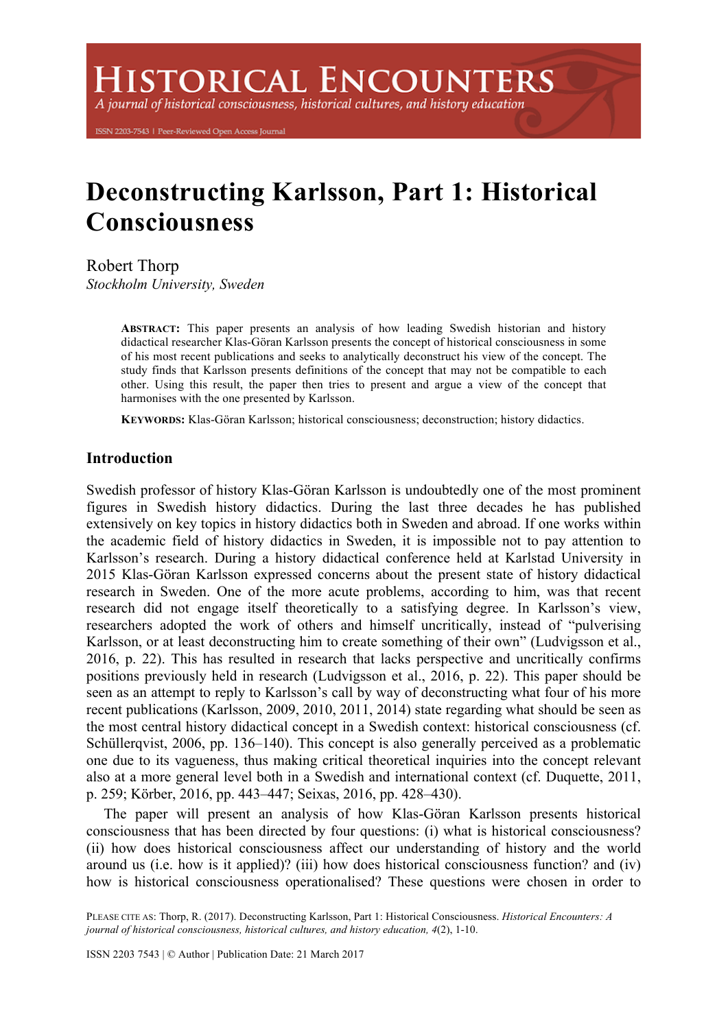**ISTORICAL ENCOUNTERS** 

A journal of historical consciousness, historical cultures, and history education

ISSN 2203-7543 | Peer-Reviewed Open Access Journal

# **Deconstructing Karlsson, Part 1: Historical Consciousness**

Robert Thorp

*Stockholm University, Sweden*

**ABSTRACT:** This paper presents an analysis of how leading Swedish historian and history didactical researcher Klas-Göran Karlsson presents the concept of historical consciousness in some of his most recent publications and seeks to analytically deconstruct his view of the concept. The study finds that Karlsson presents definitions of the concept that may not be compatible to each other. Using this result, the paper then tries to present and argue a view of the concept that harmonises with the one presented by Karlsson.

**KEYWORDS:** Klas-Göran Karlsson; historical consciousness; deconstruction; history didactics.

# **Introduction**

Swedish professor of history Klas-Göran Karlsson is undoubtedly one of the most prominent figures in Swedish history didactics. During the last three decades he has published extensively on key topics in history didactics both in Sweden and abroad. If one works within the academic field of history didactics in Sweden, it is impossible not to pay attention to Karlsson's research. During a history didactical conference held at Karlstad University in 2015 Klas-Göran Karlsson expressed concerns about the present state of history didactical research in Sweden. One of the more acute problems, according to him, was that recent research did not engage itself theoretically to a satisfying degree. In Karlsson's view, researchers adopted the work of others and himself uncritically, instead of "pulverising Karlsson, or at least deconstructing him to create something of their own" (Ludvigsson et al., 2016, p. 22). This has resulted in research that lacks perspective and uncritically confirms positions previously held in research (Ludvigsson et al., 2016, p. 22). This paper should be seen as an attempt to reply to Karlsson's call by way of deconstructing what four of his more recent publications (Karlsson, 2009, 2010, 2011, 2014) state regarding what should be seen as the most central history didactical concept in a Swedish context: historical consciousness (cf. Schüllerqvist, 2006, pp. 136–140). This concept is also generally perceived as a problematic one due to its vagueness, thus making critical theoretical inquiries into the concept relevant also at a more general level both in a Swedish and international context (cf. Duquette, 2011, p. 259; Körber, 2016, pp. 443–447; Seixas, 2016, pp. 428–430).

The paper will present an analysis of how Klas-Göran Karlsson presents historical consciousness that has been directed by four questions: (i) what is historical consciousness? (ii) how does historical consciousness affect our understanding of history and the world around us (i.e. how is it applied)? (iii) how does historical consciousness function? and (iv) how is historical consciousness operationalised? These questions were chosen in order to

PLEASE CITE AS: Thorp, R. (2017). Deconstructing Karlsson, Part 1: Historical Consciousness. *Historical Encounters: A journal of historical consciousness, historical cultures, and history education, 4*(2), 1-10.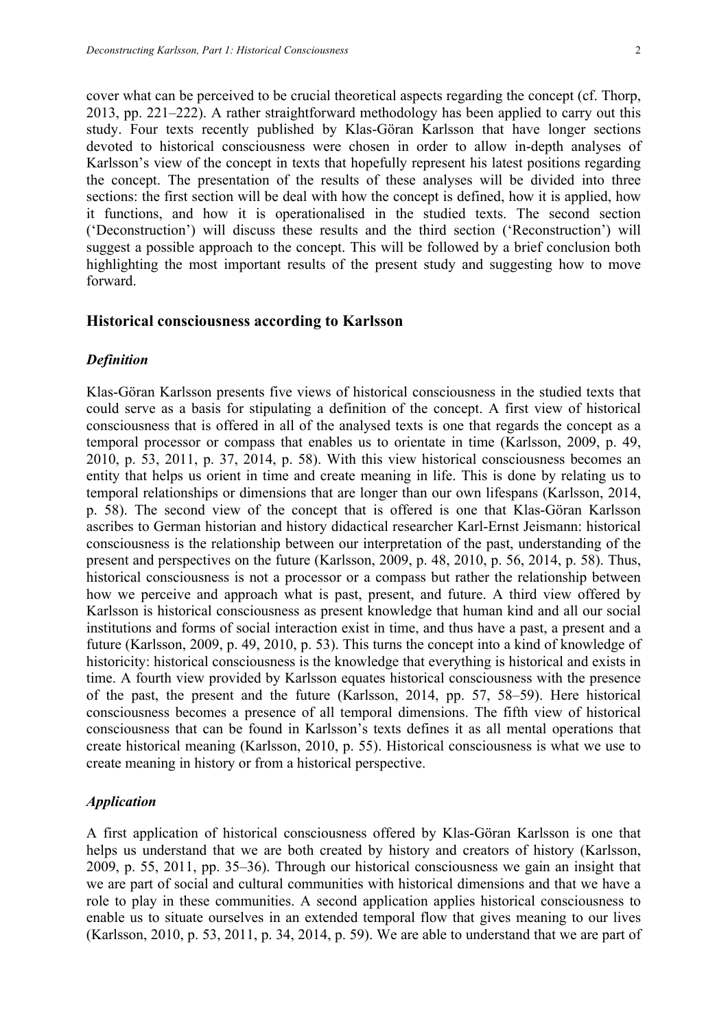cover what can be perceived to be crucial theoretical aspects regarding the concept (cf. Thorp, 2013, pp. 221–222). A rather straightforward methodology has been applied to carry out this study. Four texts recently published by Klas-Göran Karlsson that have longer sections devoted to historical consciousness were chosen in order to allow in-depth analyses of Karlsson's view of the concept in texts that hopefully represent his latest positions regarding the concept. The presentation of the results of these analyses will be divided into three sections: the first section will be deal with how the concept is defined, how it is applied, how it functions, and how it is operationalised in the studied texts. The second section ('Deconstruction') will discuss these results and the third section ('Reconstruction') will suggest a possible approach to the concept. This will be followed by a brief conclusion both highlighting the most important results of the present study and suggesting how to move forward.

## **Historical consciousness according to Karlsson**

#### *Definition*

Klas-Göran Karlsson presents five views of historical consciousness in the studied texts that could serve as a basis for stipulating a definition of the concept. A first view of historical consciousness that is offered in all of the analysed texts is one that regards the concept as a temporal processor or compass that enables us to orientate in time (Karlsson, 2009, p. 49, 2010, p. 53, 2011, p. 37, 2014, p. 58). With this view historical consciousness becomes an entity that helps us orient in time and create meaning in life. This is done by relating us to temporal relationships or dimensions that are longer than our own lifespans (Karlsson, 2014, p. 58). The second view of the concept that is offered is one that Klas-Göran Karlsson ascribes to German historian and history didactical researcher Karl-Ernst Jeismann: historical consciousness is the relationship between our interpretation of the past, understanding of the present and perspectives on the future (Karlsson, 2009, p. 48, 2010, p. 56, 2014, p. 58). Thus, historical consciousness is not a processor or a compass but rather the relationship between how we perceive and approach what is past, present, and future. A third view offered by Karlsson is historical consciousness as present knowledge that human kind and all our social institutions and forms of social interaction exist in time, and thus have a past, a present and a future (Karlsson, 2009, p. 49, 2010, p. 53). This turns the concept into a kind of knowledge of historicity: historical consciousness is the knowledge that everything is historical and exists in time. A fourth view provided by Karlsson equates historical consciousness with the presence of the past, the present and the future (Karlsson, 2014, pp. 57, 58–59). Here historical consciousness becomes a presence of all temporal dimensions. The fifth view of historical consciousness that can be found in Karlsson's texts defines it as all mental operations that create historical meaning (Karlsson, 2010, p. 55). Historical consciousness is what we use to create meaning in history or from a historical perspective.

## *Application*

A first application of historical consciousness offered by Klas-Göran Karlsson is one that helps us understand that we are both created by history and creators of history (Karlsson, 2009, p. 55, 2011, pp. 35–36). Through our historical consciousness we gain an insight that we are part of social and cultural communities with historical dimensions and that we have a role to play in these communities. A second application applies historical consciousness to enable us to situate ourselves in an extended temporal flow that gives meaning to our lives (Karlsson, 2010, p. 53, 2011, p. 34, 2014, p. 59). We are able to understand that we are part of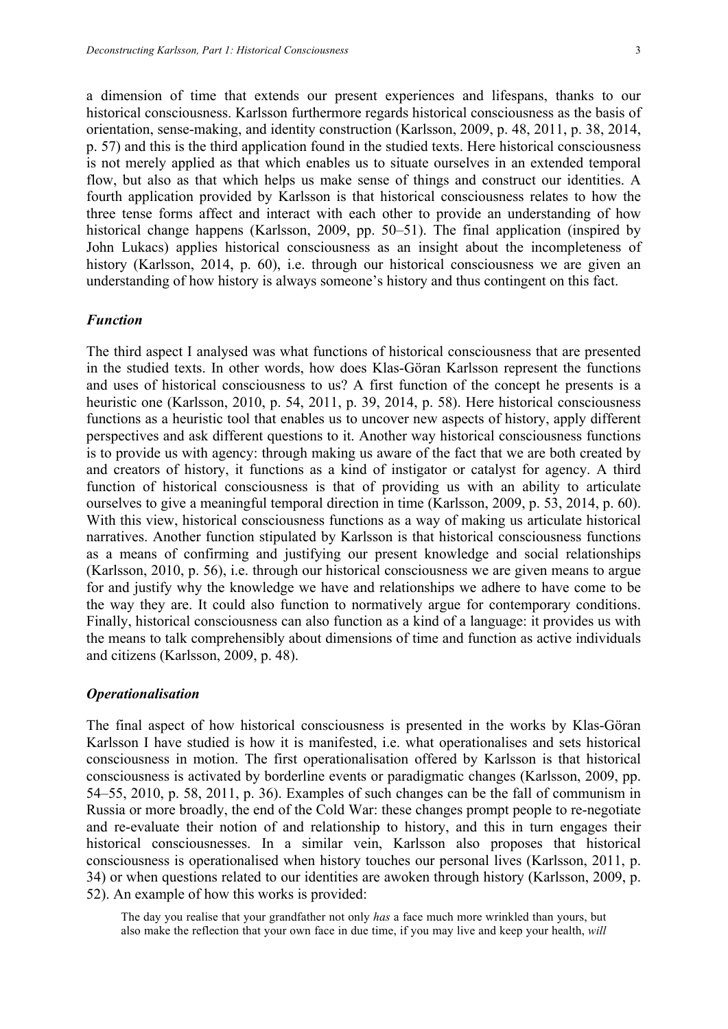a dimension of time that extends our present experiences and lifespans, thanks to our historical consciousness. Karlsson furthermore regards historical consciousness as the basis of orientation, sense-making, and identity construction (Karlsson, 2009, p. 48, 2011, p. 38, 2014, p. 57) and this is the third application found in the studied texts. Here historical consciousness is not merely applied as that which enables us to situate ourselves in an extended temporal flow, but also as that which helps us make sense of things and construct our identities. A fourth application provided by Karlsson is that historical consciousness relates to how the three tense forms affect and interact with each other to provide an understanding of how historical change happens (Karlsson, 2009, pp. 50–51). The final application (inspired by John Lukacs) applies historical consciousness as an insight about the incompleteness of history (Karlsson, 2014, p. 60), i.e. through our historical consciousness we are given an understanding of how history is always someone's history and thus contingent on this fact.

#### *Function*

The third aspect I analysed was what functions of historical consciousness that are presented in the studied texts. In other words, how does Klas-Göran Karlsson represent the functions and uses of historical consciousness to us? A first function of the concept he presents is a heuristic one (Karlsson, 2010, p. 54, 2011, p. 39, 2014, p. 58). Here historical consciousness functions as a heuristic tool that enables us to uncover new aspects of history, apply different perspectives and ask different questions to it. Another way historical consciousness functions is to provide us with agency: through making us aware of the fact that we are both created by and creators of history, it functions as a kind of instigator or catalyst for agency. A third function of historical consciousness is that of providing us with an ability to articulate ourselves to give a meaningful temporal direction in time (Karlsson, 2009, p. 53, 2014, p. 60). With this view, historical consciousness functions as a way of making us articulate historical narratives. Another function stipulated by Karlsson is that historical consciousness functions as a means of confirming and justifying our present knowledge and social relationships (Karlsson, 2010, p. 56), i.e. through our historical consciousness we are given means to argue for and justify why the knowledge we have and relationships we adhere to have come to be the way they are. It could also function to normatively argue for contemporary conditions. Finally, historical consciousness can also function as a kind of a language: it provides us with the means to talk comprehensibly about dimensions of time and function as active individuals and citizens (Karlsson, 2009, p. 48).

#### *Operationalisation*

The final aspect of how historical consciousness is presented in the works by Klas-Göran Karlsson I have studied is how it is manifested, i.e. what operationalises and sets historical consciousness in motion. The first operationalisation offered by Karlsson is that historical consciousness is activated by borderline events or paradigmatic changes (Karlsson, 2009, pp. 54–55, 2010, p. 58, 2011, p. 36). Examples of such changes can be the fall of communism in Russia or more broadly, the end of the Cold War: these changes prompt people to re-negotiate and re-evaluate their notion of and relationship to history, and this in turn engages their historical consciousnesses. In a similar vein, Karlsson also proposes that historical consciousness is operationalised when history touches our personal lives (Karlsson, 2011, p. 34) or when questions related to our identities are awoken through history (Karlsson, 2009, p. 52). An example of how this works is provided:

The day you realise that your grandfather not only *has* a face much more wrinkled than yours, but also make the reflection that your own face in due time, if you may live and keep your health, *will*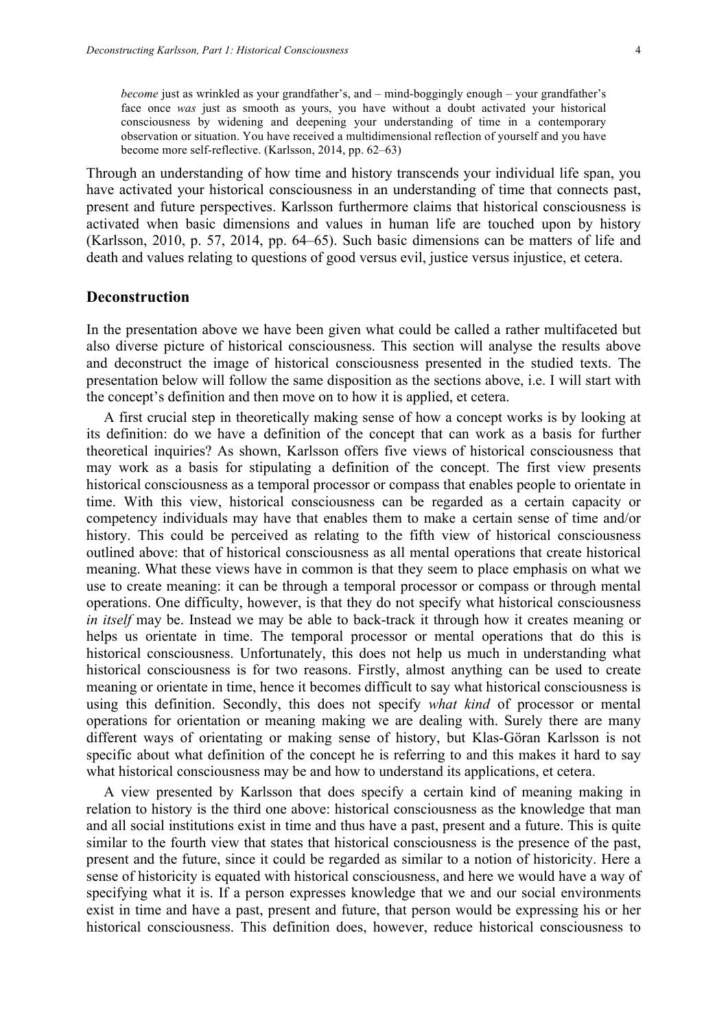*become* just as wrinkled as your grandfather's, and – mind-boggingly enough – your grandfather's face once *was* just as smooth as yours, you have without a doubt activated your historical consciousness by widening and deepening your understanding of time in a contemporary observation or situation. You have received a multidimensional reflection of yourself and you have become more self-reflective. (Karlsson, 2014, pp. 62–63)

Through an understanding of how time and history transcends your individual life span, you have activated your historical consciousness in an understanding of time that connects past, present and future perspectives. Karlsson furthermore claims that historical consciousness is activated when basic dimensions and values in human life are touched upon by history (Karlsson, 2010, p. 57, 2014, pp. 64–65). Such basic dimensions can be matters of life and death and values relating to questions of good versus evil, justice versus injustice, et cetera.

#### **Deconstruction**

In the presentation above we have been given what could be called a rather multifaceted but also diverse picture of historical consciousness. This section will analyse the results above and deconstruct the image of historical consciousness presented in the studied texts. The presentation below will follow the same disposition as the sections above, i.e. I will start with the concept's definition and then move on to how it is applied, et cetera.

A first crucial step in theoretically making sense of how a concept works is by looking at its definition: do we have a definition of the concept that can work as a basis for further theoretical inquiries? As shown, Karlsson offers five views of historical consciousness that may work as a basis for stipulating a definition of the concept. The first view presents historical consciousness as a temporal processor or compass that enables people to orientate in time. With this view, historical consciousness can be regarded as a certain capacity or competency individuals may have that enables them to make a certain sense of time and/or history. This could be perceived as relating to the fifth view of historical consciousness outlined above: that of historical consciousness as all mental operations that create historical meaning. What these views have in common is that they seem to place emphasis on what we use to create meaning: it can be through a temporal processor or compass or through mental operations. One difficulty, however, is that they do not specify what historical consciousness *in itself* may be. Instead we may be able to back-track it through how it creates meaning or helps us orientate in time. The temporal processor or mental operations that do this is historical consciousness. Unfortunately, this does not help us much in understanding what historical consciousness is for two reasons. Firstly, almost anything can be used to create meaning or orientate in time, hence it becomes difficult to say what historical consciousness is using this definition. Secondly, this does not specify *what kind* of processor or mental operations for orientation or meaning making we are dealing with. Surely there are many different ways of orientating or making sense of history, but Klas-Göran Karlsson is not specific about what definition of the concept he is referring to and this makes it hard to say what historical consciousness may be and how to understand its applications, et cetera.

A view presented by Karlsson that does specify a certain kind of meaning making in relation to history is the third one above: historical consciousness as the knowledge that man and all social institutions exist in time and thus have a past, present and a future. This is quite similar to the fourth view that states that historical consciousness is the presence of the past, present and the future, since it could be regarded as similar to a notion of historicity. Here a sense of historicity is equated with historical consciousness, and here we would have a way of specifying what it is. If a person expresses knowledge that we and our social environments exist in time and have a past, present and future, that person would be expressing his or her historical consciousness. This definition does, however, reduce historical consciousness to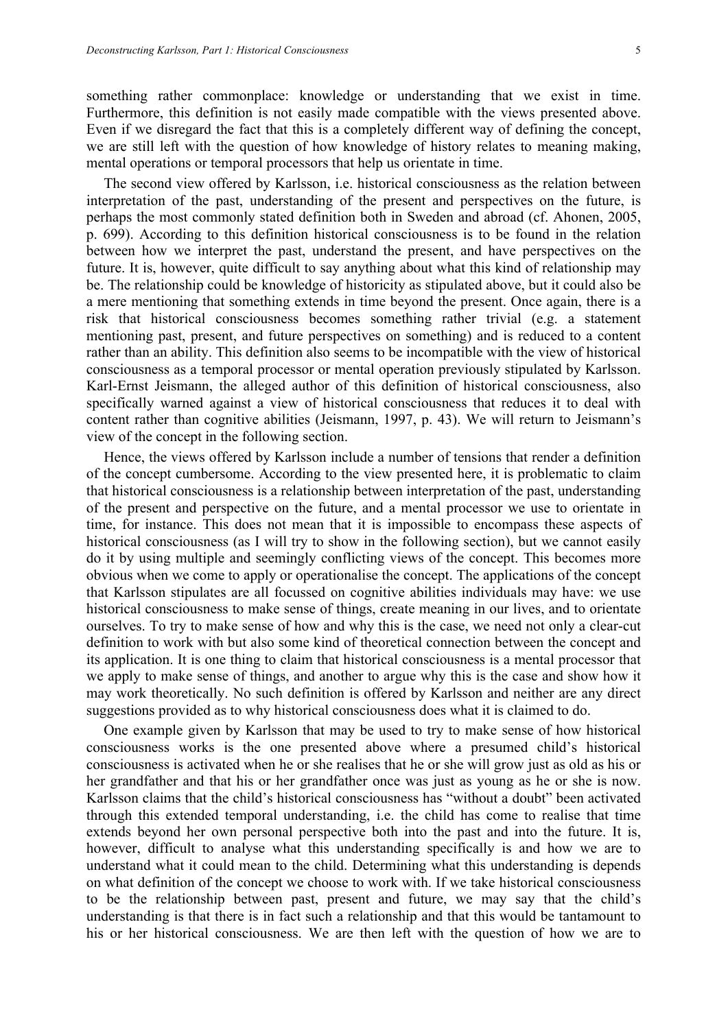something rather commonplace: knowledge or understanding that we exist in time. Furthermore, this definition is not easily made compatible with the views presented above. Even if we disregard the fact that this is a completely different way of defining the concept, we are still left with the question of how knowledge of history relates to meaning making, mental operations or temporal processors that help us orientate in time.

The second view offered by Karlsson, i.e. historical consciousness as the relation between interpretation of the past, understanding of the present and perspectives on the future, is perhaps the most commonly stated definition both in Sweden and abroad (cf. Ahonen, 2005, p. 699). According to this definition historical consciousness is to be found in the relation between how we interpret the past, understand the present, and have perspectives on the future. It is, however, quite difficult to say anything about what this kind of relationship may be. The relationship could be knowledge of historicity as stipulated above, but it could also be a mere mentioning that something extends in time beyond the present. Once again, there is a risk that historical consciousness becomes something rather trivial (e.g. a statement mentioning past, present, and future perspectives on something) and is reduced to a content rather than an ability. This definition also seems to be incompatible with the view of historical consciousness as a temporal processor or mental operation previously stipulated by Karlsson. Karl-Ernst Jeismann, the alleged author of this definition of historical consciousness, also specifically warned against a view of historical consciousness that reduces it to deal with content rather than cognitive abilities (Jeismann, 1997, p. 43). We will return to Jeismann's view of the concept in the following section.

Hence, the views offered by Karlsson include a number of tensions that render a definition of the concept cumbersome. According to the view presented here, it is problematic to claim that historical consciousness is a relationship between interpretation of the past, understanding of the present and perspective on the future, and a mental processor we use to orientate in time, for instance. This does not mean that it is impossible to encompass these aspects of historical consciousness (as I will try to show in the following section), but we cannot easily do it by using multiple and seemingly conflicting views of the concept. This becomes more obvious when we come to apply or operationalise the concept. The applications of the concept that Karlsson stipulates are all focussed on cognitive abilities individuals may have: we use historical consciousness to make sense of things, create meaning in our lives, and to orientate ourselves. To try to make sense of how and why this is the case, we need not only a clear-cut definition to work with but also some kind of theoretical connection between the concept and its application. It is one thing to claim that historical consciousness is a mental processor that we apply to make sense of things, and another to argue why this is the case and show how it may work theoretically. No such definition is offered by Karlsson and neither are any direct suggestions provided as to why historical consciousness does what it is claimed to do.

One example given by Karlsson that may be used to try to make sense of how historical consciousness works is the one presented above where a presumed child's historical consciousness is activated when he or she realises that he or she will grow just as old as his or her grandfather and that his or her grandfather once was just as young as he or she is now. Karlsson claims that the child's historical consciousness has "without a doubt" been activated through this extended temporal understanding, i.e. the child has come to realise that time extends beyond her own personal perspective both into the past and into the future. It is, however, difficult to analyse what this understanding specifically is and how we are to understand what it could mean to the child. Determining what this understanding is depends on what definition of the concept we choose to work with. If we take historical consciousness to be the relationship between past, present and future, we may say that the child's understanding is that there is in fact such a relationship and that this would be tantamount to his or her historical consciousness. We are then left with the question of how we are to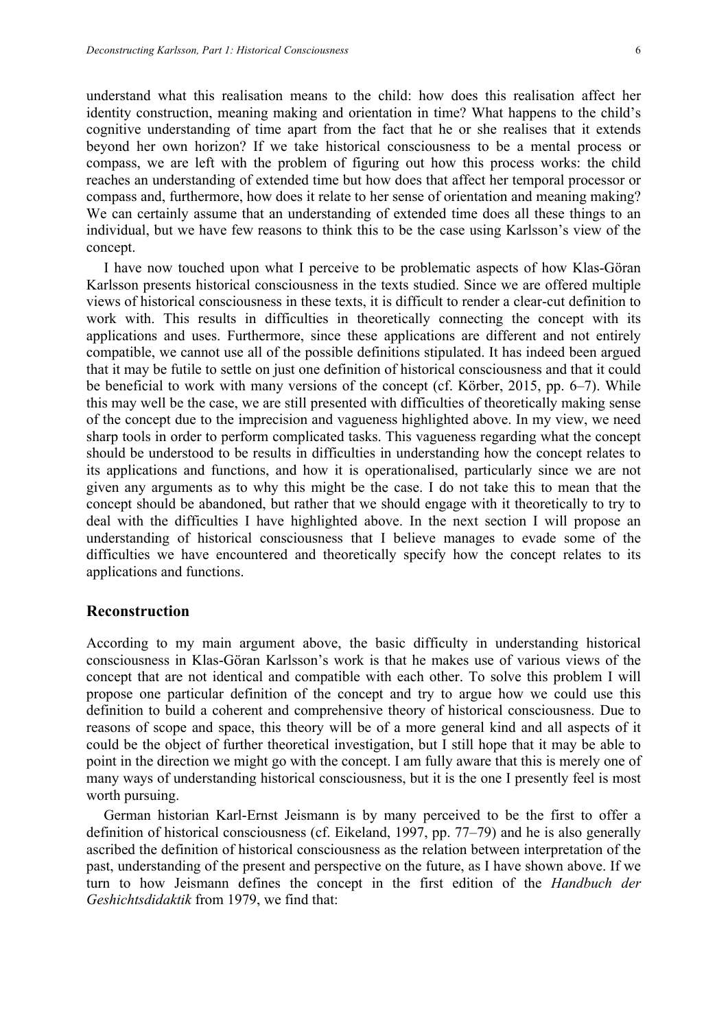understand what this realisation means to the child: how does this realisation affect her identity construction, meaning making and orientation in time? What happens to the child's cognitive understanding of time apart from the fact that he or she realises that it extends beyond her own horizon? If we take historical consciousness to be a mental process or compass, we are left with the problem of figuring out how this process works: the child reaches an understanding of extended time but how does that affect her temporal processor or compass and, furthermore, how does it relate to her sense of orientation and meaning making? We can certainly assume that an understanding of extended time does all these things to an individual, but we have few reasons to think this to be the case using Karlsson's view of the concept.

I have now touched upon what I perceive to be problematic aspects of how Klas-Göran Karlsson presents historical consciousness in the texts studied. Since we are offered multiple views of historical consciousness in these texts, it is difficult to render a clear-cut definition to work with. This results in difficulties in theoretically connecting the concept with its applications and uses. Furthermore, since these applications are different and not entirely compatible, we cannot use all of the possible definitions stipulated. It has indeed been argued that it may be futile to settle on just one definition of historical consciousness and that it could be beneficial to work with many versions of the concept (cf. Körber, 2015, pp. 6–7). While this may well be the case, we are still presented with difficulties of theoretically making sense of the concept due to the imprecision and vagueness highlighted above. In my view, we need sharp tools in order to perform complicated tasks. This vagueness regarding what the concept should be understood to be results in difficulties in understanding how the concept relates to its applications and functions, and how it is operationalised, particularly since we are not given any arguments as to why this might be the case. I do not take this to mean that the concept should be abandoned, but rather that we should engage with it theoretically to try to deal with the difficulties I have highlighted above. In the next section I will propose an understanding of historical consciousness that I believe manages to evade some of the difficulties we have encountered and theoretically specify how the concept relates to its applications and functions.

## **Reconstruction**

According to my main argument above, the basic difficulty in understanding historical consciousness in Klas-Göran Karlsson's work is that he makes use of various views of the concept that are not identical and compatible with each other. To solve this problem I will propose one particular definition of the concept and try to argue how we could use this definition to build a coherent and comprehensive theory of historical consciousness. Due to reasons of scope and space, this theory will be of a more general kind and all aspects of it could be the object of further theoretical investigation, but I still hope that it may be able to point in the direction we might go with the concept. I am fully aware that this is merely one of many ways of understanding historical consciousness, but it is the one I presently feel is most worth pursuing.

German historian Karl-Ernst Jeismann is by many perceived to be the first to offer a definition of historical consciousness (cf. Eikeland, 1997, pp. 77–79) and he is also generally ascribed the definition of historical consciousness as the relation between interpretation of the past, understanding of the present and perspective on the future, as I have shown above. If we turn to how Jeismann defines the concept in the first edition of the *Handbuch der Geshichtsdidaktik* from 1979, we find that: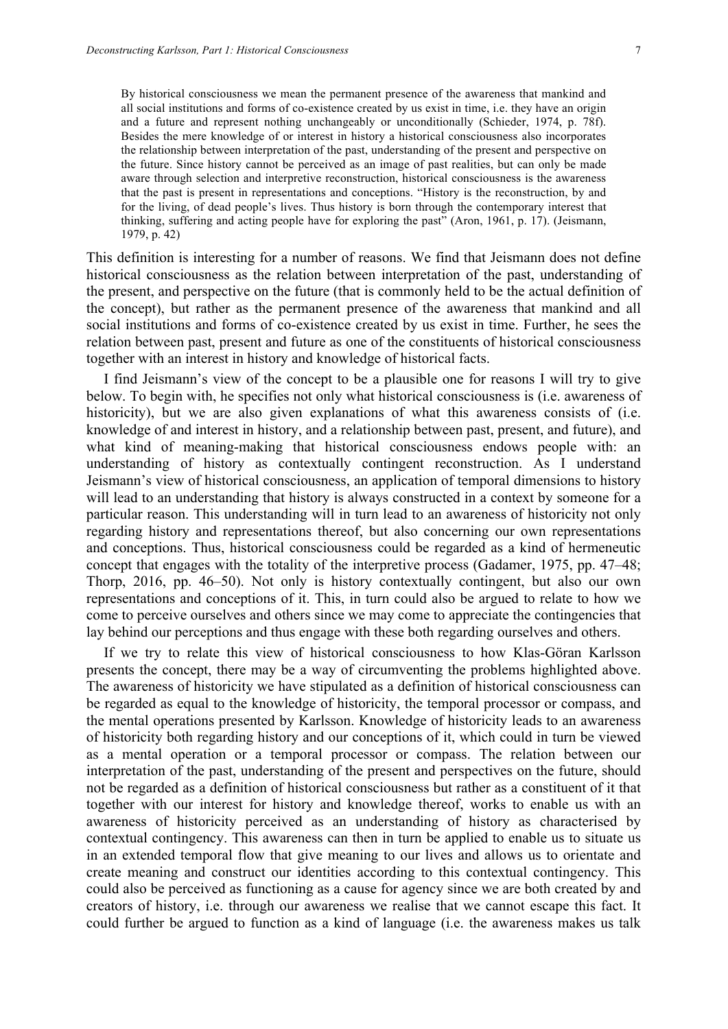By historical consciousness we mean the permanent presence of the awareness that mankind and all social institutions and forms of co-existence created by us exist in time, i.e. they have an origin and a future and represent nothing unchangeably or unconditionally (Schieder, 1974, p. 78f). Besides the mere knowledge of or interest in history a historical consciousness also incorporates the relationship between interpretation of the past, understanding of the present and perspective on the future. Since history cannot be perceived as an image of past realities, but can only be made aware through selection and interpretive reconstruction, historical consciousness is the awareness that the past is present in representations and conceptions. "History is the reconstruction, by and for the living, of dead people's lives. Thus history is born through the contemporary interest that thinking, suffering and acting people have for exploring the past" (Aron, 1961, p. 17). (Jeismann, 1979, p. 42)

This definition is interesting for a number of reasons. We find that Jeismann does not define historical consciousness as the relation between interpretation of the past, understanding of the present, and perspective on the future (that is commonly held to be the actual definition of the concept), but rather as the permanent presence of the awareness that mankind and all social institutions and forms of co-existence created by us exist in time. Further, he sees the relation between past, present and future as one of the constituents of historical consciousness together with an interest in history and knowledge of historical facts.

I find Jeismann's view of the concept to be a plausible one for reasons I will try to give below. To begin with, he specifies not only what historical consciousness is (i.e. awareness of historicity), but we are also given explanations of what this awareness consists of (i.e. knowledge of and interest in history, and a relationship between past, present, and future), and what kind of meaning-making that historical consciousness endows people with: an understanding of history as contextually contingent reconstruction. As I understand Jeismann's view of historical consciousness, an application of temporal dimensions to history will lead to an understanding that history is always constructed in a context by someone for a particular reason. This understanding will in turn lead to an awareness of historicity not only regarding history and representations thereof, but also concerning our own representations and conceptions. Thus, historical consciousness could be regarded as a kind of hermeneutic concept that engages with the totality of the interpretive process (Gadamer, 1975, pp. 47–48; Thorp, 2016, pp. 46–50). Not only is history contextually contingent, but also our own representations and conceptions of it. This, in turn could also be argued to relate to how we come to perceive ourselves and others since we may come to appreciate the contingencies that lay behind our perceptions and thus engage with these both regarding ourselves and others.

If we try to relate this view of historical consciousness to how Klas-Göran Karlsson presents the concept, there may be a way of circumventing the problems highlighted above. The awareness of historicity we have stipulated as a definition of historical consciousness can be regarded as equal to the knowledge of historicity, the temporal processor or compass, and the mental operations presented by Karlsson. Knowledge of historicity leads to an awareness of historicity both regarding history and our conceptions of it, which could in turn be viewed as a mental operation or a temporal processor or compass. The relation between our interpretation of the past, understanding of the present and perspectives on the future, should not be regarded as a definition of historical consciousness but rather as a constituent of it that together with our interest for history and knowledge thereof, works to enable us with an awareness of historicity perceived as an understanding of history as characterised by contextual contingency. This awareness can then in turn be applied to enable us to situate us in an extended temporal flow that give meaning to our lives and allows us to orientate and create meaning and construct our identities according to this contextual contingency. This could also be perceived as functioning as a cause for agency since we are both created by and creators of history, i.e. through our awareness we realise that we cannot escape this fact. It could further be argued to function as a kind of language (i.e. the awareness makes us talk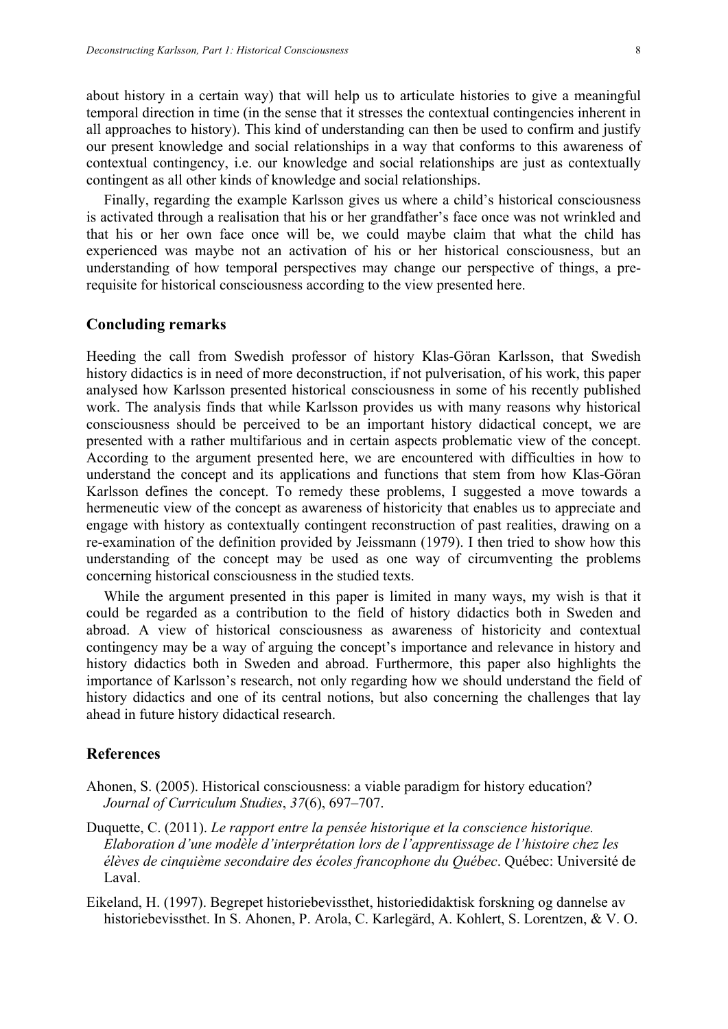about history in a certain way) that will help us to articulate histories to give a meaningful temporal direction in time (in the sense that it stresses the contextual contingencies inherent in all approaches to history). This kind of understanding can then be used to confirm and justify our present knowledge and social relationships in a way that conforms to this awareness of contextual contingency, i.e. our knowledge and social relationships are just as contextually contingent as all other kinds of knowledge and social relationships.

Finally, regarding the example Karlsson gives us where a child's historical consciousness is activated through a realisation that his or her grandfather's face once was not wrinkled and that his or her own face once will be, we could maybe claim that what the child has experienced was maybe not an activation of his or her historical consciousness, but an understanding of how temporal perspectives may change our perspective of things, a prerequisite for historical consciousness according to the view presented here.

#### **Concluding remarks**

Heeding the call from Swedish professor of history Klas-Göran Karlsson, that Swedish history didactics is in need of more deconstruction, if not pulverisation, of his work, this paper analysed how Karlsson presented historical consciousness in some of his recently published work. The analysis finds that while Karlsson provides us with many reasons why historical consciousness should be perceived to be an important history didactical concept, we are presented with a rather multifarious and in certain aspects problematic view of the concept. According to the argument presented here, we are encountered with difficulties in how to understand the concept and its applications and functions that stem from how Klas-Göran Karlsson defines the concept. To remedy these problems, I suggested a move towards a hermeneutic view of the concept as awareness of historicity that enables us to appreciate and engage with history as contextually contingent reconstruction of past realities, drawing on a re-examination of the definition provided by Jeissmann (1979). I then tried to show how this understanding of the concept may be used as one way of circumventing the problems concerning historical consciousness in the studied texts.

While the argument presented in this paper is limited in many ways, my wish is that it could be regarded as a contribution to the field of history didactics both in Sweden and abroad. A view of historical consciousness as awareness of historicity and contextual contingency may be a way of arguing the concept's importance and relevance in history and history didactics both in Sweden and abroad. Furthermore, this paper also highlights the importance of Karlsson's research, not only regarding how we should understand the field of history didactics and one of its central notions, but also concerning the challenges that lay ahead in future history didactical research.

#### **References**

- Ahonen, S. (2005). Historical consciousness: a viable paradigm for history education? *Journal of Curriculum Studies*, *37*(6), 697–707.
- Duquette, C. (2011). *Le rapport entre la pensée historique et la conscience historique. Elaboration d'une modèle d'interprétation lors de l'apprentissage de l'histoire chez les élèves de cinquième secondaire des écoles francophone du Québec*. Québec: Université de Laval.
- Eikeland, H. (1997). Begrepet historiebevissthet, historiedidaktisk forskning og dannelse av historiebevissthet. In S. Ahonen, P. Arola, C. Karlegärd, A. Kohlert, S. Lorentzen, & V. O.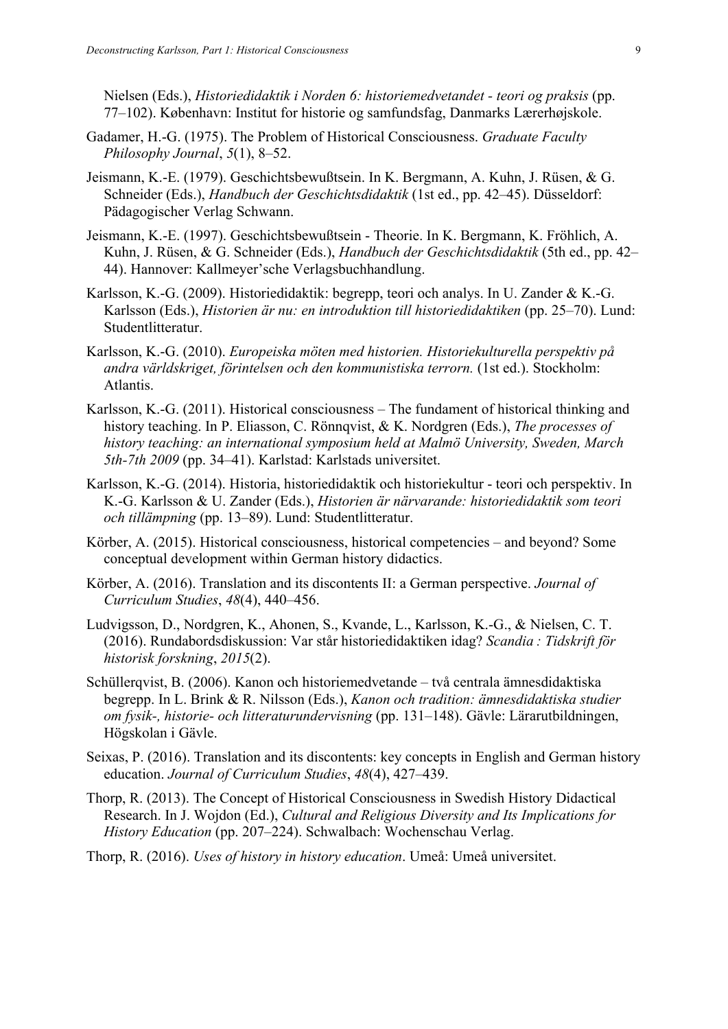Nielsen (Eds.), *Historiedidaktik i Norden 6: historiemedvetandet - teori og praksis* (pp. 77–102). København: Institut for historie og samfundsfag, Danmarks Lærerhøjskole.

- Gadamer, H.-G. (1975). The Problem of Historical Consciousness. *Graduate Faculty Philosophy Journal*, *5*(1), 8–52.
- Jeismann, K.-E. (1979). Geschichtsbewußtsein. In K. Bergmann, A. Kuhn, J. Rüsen, & G. Schneider (Eds.), *Handbuch der Geschichtsdidaktik* (1st ed., pp. 42–45). Düsseldorf: Pädagogischer Verlag Schwann.
- Jeismann, K.-E. (1997). Geschichtsbewußtsein Theorie. In K. Bergmann, K. Fröhlich, A. Kuhn, J. Rüsen, & G. Schneider (Eds.), *Handbuch der Geschichtsdidaktik* (5th ed., pp. 42– 44). Hannover: Kallmeyer'sche Verlagsbuchhandlung.
- Karlsson, K.-G. (2009). Historiedidaktik: begrepp, teori och analys. In U. Zander & K.-G. Karlsson (Eds.), *Historien är nu: en introduktion till historiedidaktiken* (pp. 25–70). Lund: Studentlitteratur.
- Karlsson, K.-G. (2010). *Europeiska möten med historien. Historiekulturella perspektiv på andra världskriget, förintelsen och den kommunistiska terrorn.* (1st ed.). Stockholm: Atlantis.
- Karlsson, K.-G. (2011). Historical consciousness The fundament of historical thinking and history teaching. In P. Eliasson, C. Rönnqvist, & K. Nordgren (Eds.), *The processes of history teaching: an international symposium held at Malmö University, Sweden, March 5th-7th 2009* (pp. 34–41). Karlstad: Karlstads universitet.
- Karlsson, K.-G. (2014). Historia, historiedidaktik och historiekultur teori och perspektiv. In K.-G. Karlsson & U. Zander (Eds.), *Historien är närvarande: historiedidaktik som teori och tillämpning* (pp. 13–89). Lund: Studentlitteratur.
- Körber, A. (2015). Historical consciousness, historical competencies and beyond? Some conceptual development within German history didactics.
- Körber, A. (2016). Translation and its discontents II: a German perspective. *Journal of Curriculum Studies*, *48*(4), 440–456.
- Ludvigsson, D., Nordgren, K., Ahonen, S., Kvande, L., Karlsson, K.-G., & Nielsen, C. T. (2016). Rundabordsdiskussion: Var står historiedidaktiken idag? *Scandia : Tidskrift för historisk forskning*, *2015*(2).
- Schüllerqvist, B. (2006). Kanon och historiemedvetande två centrala ämnesdidaktiska begrepp. In L. Brink & R. Nilsson (Eds.), *Kanon och tradition: ämnesdidaktiska studier om fysik-, historie- och litteraturundervisning* (pp. 131–148). Gävle: Lärarutbildningen, Högskolan i Gävle.
- Seixas, P. (2016). Translation and its discontents: key concepts in English and German history education. *Journal of Curriculum Studies*, *48*(4), 427–439.
- Thorp, R. (2013). The Concept of Historical Consciousness in Swedish History Didactical Research. In J. Wojdon (Ed.), *Cultural and Religious Diversity and Its Implications for History Education* (pp. 207–224). Schwalbach: Wochenschau Verlag.
- Thorp, R. (2016). *Uses of history in history education*. Umeå: Umeå universitet.